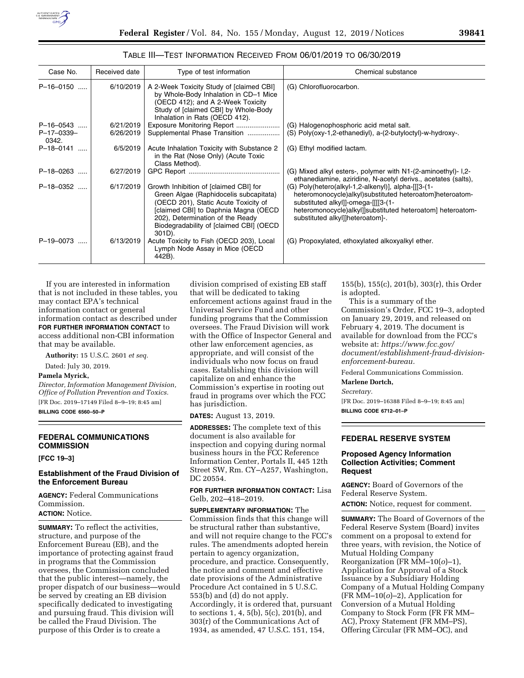

# TABLE III—TEST INFORMATION RECEIVED FROM 06/01/2019 TO 06/30/2019

| Case No.                | Received date | Type of test information                                                                                                                                                                                                                                  | Chemical substance                                                                                                                                                                                                                                      |
|-------------------------|---------------|-----------------------------------------------------------------------------------------------------------------------------------------------------------------------------------------------------------------------------------------------------------|---------------------------------------------------------------------------------------------------------------------------------------------------------------------------------------------------------------------------------------------------------|
| $P-16-0150$             | 6/10/2019     | A 2-Week Toxicity Study of [claimed CBI]<br>by Whole-Body Inhalation in CD-1 Mice<br>(OECD 412); and A 2-Week Toxicity<br>Study of [claimed CBI] by Whole-Body<br>Inhalation in Rats (OECD 412).                                                          | (G) Chlorofluorocarbon.                                                                                                                                                                                                                                 |
| P-16-0543               | 6/21/2019     | Exposure Monitoring Report                                                                                                                                                                                                                                | (G) Halogenophosphoric acid metal salt.                                                                                                                                                                                                                 |
| $P-17-0339-$<br>0342.   | 6/26/2019     | Supplemental Phase Transition                                                                                                                                                                                                                             | (S) Poly(oxy-1,2-ethanediyl), a-(2-butyloctyl)-w-hydroxy-.                                                                                                                                                                                              |
| $P-18-0141$<br>$\cdots$ | 6/5/2019      | Acute Inhalation Toxicity with Substance 2<br>in the Rat (Nose Only) (Acute Toxic<br>Class Method).                                                                                                                                                       | (G) Ethyl modified lactam.                                                                                                                                                                                                                              |
| $P-18-0263$<br>$\cdots$ | 6/27/2019     |                                                                                                                                                                                                                                                           | (G) Mixed alkyl esters-, polymer with N1-(2-aminoethyl)-1,2-<br>ethanediamine, aziridine, N-acetyl derivs., acetates (salts),                                                                                                                           |
| P-18-0352               | 6/17/2019     | Growth Inhibition of [claimed CBI] for<br>Green Algae (Raphidocelis subcapitata)<br>(OECD 201), Static Acute Toxicity of<br>[claimed CBI] to Daphnia Magna (OECD<br>202), Determination of the Ready<br>Biodegradability of [claimed CBI] (OECD<br>301D). | (G) Poly(hetero(alkyl-1,2-alkenyl)], alpha-[[3-(1-<br>heteromonocycle)alkyl)substituted heteroatom]heteroatom-<br>substituted alkyl]]-omega-[[[[3-(1-<br>heteromonocycle)alkyl]]substituted heteroatom] heteroatom-<br>substituted alkyl]]heteroatom]-. |
| P-19-0073<br>$\cdots$   | 6/13/2019     | Acute Toxicity to Fish (OECD 203), Local<br>Lymph Node Assay in Mice (OECD<br>442B).                                                                                                                                                                      | (G) Propoxylated, ethoxylated alkoxyalkyl ether.                                                                                                                                                                                                        |

If you are interested in information that is not included in these tables, you may contact EPA's technical information contact or general information contact as described under **FOR FURTHER INFORMATION CONTACT** to access additional non-CBI information that may be available.

**Authority:** 15 U.S.C. 2601 *et seq.* 

Dated: July 30, 2019.

#### **Pamela Myrick,**

*Director, Information Management Division, Office of Pollution Prevention and Toxics.*  [FR Doc. 2019–17149 Filed 8–9–19; 8:45 am] **BILLING CODE 6560–50–P** 

# **FEDERAL COMMUNICATIONS COMMISSION**

# **[FCC 19–3]**

### **Establishment of the Fraud Division of the Enforcement Bureau**

**AGENCY:** Federal Communications Commission. **ACTION:** Notice.

**SUMMARY:** To reflect the activities, structure, and purpose of the Enforcement Bureau (EB), and the importance of protecting against fraud in programs that the Commission oversees, the Commission concluded that the public interest—namely, the proper dispatch of our business—would be served by creating an EB division specifically dedicated to investigating and pursuing fraud. This division will be called the Fraud Division. The purpose of this Order is to create a

division comprised of existing EB staff that will be dedicated to taking enforcement actions against fraud in the Universal Service Fund and other funding programs that the Commission oversees. The Fraud Division will work with the Office of Inspector General and other law enforcement agencies, as appropriate, and will consist of the individuals who now focus on fraud cases. Establishing this division will capitalize on and enhance the Commission's expertise in rooting out fraud in programs over which the FCC has jurisdiction.

**DATES:** August 13, 2019.

**ADDRESSES:** The complete text of this document is also available for inspection and copying during normal business hours in the FCC Reference Information Center, Portals II, 445 12th Street SW, Rm. CY–A257, Washington, DC 20554.

**FOR FURTHER INFORMATION CONTACT:** Lisa Gelb, 202–418–2019.

**SUPPLEMENTARY INFORMATION:** The Commission finds that this change will be structural rather than substantive, and will not require change to the FCC's rules. The amendments adopted herein pertain to agency organization, procedure, and practice. Consequently, the notice and comment and effective date provisions of the Administrative Procedure Act contained in 5 U.S.C. 553(b) and (d) do not apply. Accordingly, it is ordered that, pursuant to sections 1, 4, 5(b), 5(c), 201(b), and 303(r) of the Communications Act of 1934, as amended, 47 U.S.C. 151, 154,

155(b), 155(c), 201(b), 303(r), this Order is adopted.

This is a summary of the Commission's Order, FCC 19–3, adopted on January 29, 2019, and released on February 4, 2019. The document is available for download from the FCC's website at: *[https://www.fcc.gov/](https://www.fcc.gov/document/establishment-fraud-division-enforcement-bureau) [document/establishment-fraud-division](https://www.fcc.gov/document/establishment-fraud-division-enforcement-bureau)[enforcement-bureau.](https://www.fcc.gov/document/establishment-fraud-division-enforcement-bureau)* 

Federal Communications Commission.

**Marlene Dortch,** 

*Secretary.* 

[FR Doc. 2019–16388 Filed 8–9–19; 8:45 am] **BILLING CODE 6712–01–P** 

# **FEDERAL RESERVE SYSTEM**

#### **Proposed Agency Information Collection Activities; Comment Request**

**AGENCY:** Board of Governors of the Federal Reserve System.

**ACTION:** Notice, request for comment.

**SUMMARY:** The Board of Governors of the Federal Reserve System (Board) invites comment on a proposal to extend for three years, with revision, the Notice of Mutual Holding Company Reorganization (FR MM–10(*o*)–1), Application for Approval of a Stock Issuance by a Subsidiary Holding Company of a Mutual Holding Company  $(FR MM-10(*o*)-2)$ , Application for Conversion of a Mutual Holding Company to Stock Form (FR FR MM– AC), Proxy Statement (FR MM–PS), Offering Circular (FR MM–OC), and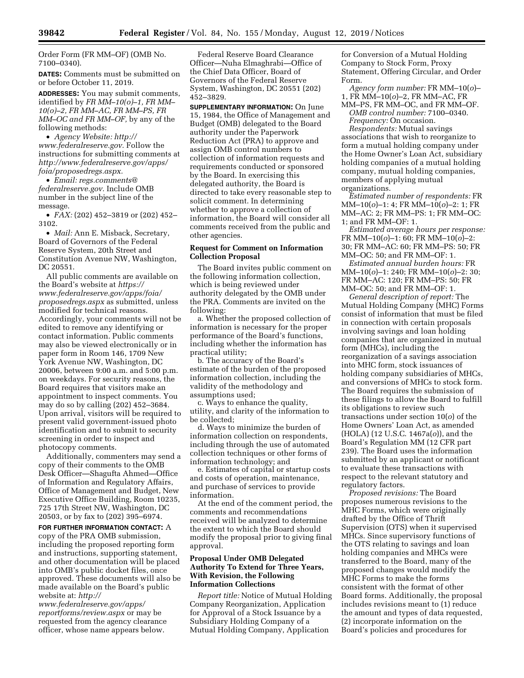Order Form (FR MM–OF) (OMB No. 7100–0340).

**DATES:** Comments must be submitted on or before October 11, 2019.

**ADDRESSES:** You may submit comments, identified by *FR MM–10(o)–1, FR MM– 10(o)–2, FR MM–AC, FR MM–PS, FR MM–OC and FR MM–OF,* by any of the following methods:

• *Agency Website: [http://](http://www.federalreserve.gov)  [www.federalreserve.gov.](http://www.federalreserve.gov)* Follow the instructions for submitting comments at *[http://www.federalreserve.gov/apps/](http://www.federalreserve.gov/apps/foia/proposedregs.aspx) [foia/proposedregs.aspx.](http://www.federalreserve.gov/apps/foia/proposedregs.aspx)* 

• *Email: [regs.comments@](mailto:regs.comments@federalreserve.gov) [federalreserve.gov.](mailto:regs.comments@federalreserve.gov)* Include OMB number in the subject line of the message.

• *FAX:* (202) 452–3819 or (202) 452– 3102.

• *Mail:* Ann E. Misback, Secretary, Board of Governors of the Federal Reserve System, 20th Street and Constitution Avenue NW, Washington, DC 20551.

All public comments are available on the Board's website at *[https://](https://www.federalreserve.gov/apps/foia/proposedregs.aspx) [www.federalreserve.gov/apps/foia/](https://www.federalreserve.gov/apps/foia/proposedregs.aspx) [proposedregs.aspx](https://www.federalreserve.gov/apps/foia/proposedregs.aspx)* as submitted, unless modified for technical reasons. Accordingly, your comments will not be edited to remove any identifying or contact information. Public comments may also be viewed electronically or in paper form in Room 146, 1709 New York Avenue NW, Washington, DC 20006, between 9:00 a.m. and 5:00 p.m. on weekdays. For security reasons, the Board requires that visitors make an appointment to inspect comments. You may do so by calling (202) 452–3684. Upon arrival, visitors will be required to present valid government-issued photo identification and to submit to security screening in order to inspect and photocopy comments.

Additionally, commenters may send a copy of their comments to the OMB Desk Officer—Shagufta Ahmed—Office of Information and Regulatory Affairs, Office of Management and Budget, New Executive Office Building, Room 10235, 725 17th Street NW, Washington, DC 20503, or by fax to (202) 395–6974.

**FOR FURTHER INFORMATION CONTACT:** A copy of the PRA OMB submission, including the proposed reporting form and instructions, supporting statement, and other documentation will be placed into OMB's public docket files, once approved. These documents will also be made available on the Board's public website at: *[http://](http://www.federalreserve.gov/apps/reportforms/review.aspx)*

*[www.federalreserve.gov/apps/](http://www.federalreserve.gov/apps/reportforms/review.aspx)  [reportforms/review.aspx](http://www.federalreserve.gov/apps/reportforms/review.aspx)* or may be requested from the agency clearance officer, whose name appears below.

Federal Reserve Board Clearance Officer—Nuha Elmaghrabi—Office of the Chief Data Officer, Board of Governors of the Federal Reserve System, Washington, DC 20551 (202) 452–3829.

**SUPPLEMENTARY INFORMATION:** On June 15, 1984, the Office of Management and Budget (OMB) delegated to the Board authority under the Paperwork Reduction Act (PRA) to approve and assign OMB control numbers to collection of information requests and requirements conducted or sponsored by the Board. In exercising this delegated authority, the Board is directed to take every reasonable step to solicit comment. In determining whether to approve a collection of information, the Board will consider all comments received from the public and other agencies.

## **Request for Comment on Information Collection Proposal**

The Board invites public comment on the following information collection, which is being reviewed under authority delegated by the OMB under the PRA. Comments are invited on the following:

a. Whether the proposed collection of information is necessary for the proper performance of the Board's functions, including whether the information has practical utility;

b. The accuracy of the Board's estimate of the burden of the proposed information collection, including the validity of the methodology and assumptions used;

c. Ways to enhance the quality, utility, and clarity of the information to be collected;

d. Ways to minimize the burden of information collection on respondents, including through the use of automated collection techniques or other forms of information technology; and

e. Estimates of capital or startup costs and costs of operation, maintenance, and purchase of services to provide information.

At the end of the comment period, the comments and recommendations received will be analyzed to determine the extent to which the Board should modify the proposal prior to giving final approval.

### **Proposal Under OMB Delegated Authority To Extend for Three Years, With Revision, the Following Information Collections**

*Report title:* Notice of Mutual Holding Company Reorganization, Application for Approval of a Stock Issuance by a Subsidiary Holding Company of a Mutual Holding Company, Application

for Conversion of a Mutual Holding Company to Stock Form, Proxy Statement, Offering Circular, and Order Form.

*Agency form number:* FR MM–10(*o*)– 1, FR MM–10(*o*)–2, FR MM–AC, FR

MM–PS, FR MM–OC, and FR MM–OF. *OMB control number:* 7100–0340. *Frequency:* On occasion.

*Respondents:* Mutual savings associations that wish to reorganize to form a mutual holding company under the Home Owner's Loan Act, subsidiary holding companies of a mutual holding company, mutual holding companies, members of applying mutual organizations.

*Estimated number of respondents:* FR MM–10(*o*)–1: 4; FR MM–10(*o*)–2: 1; FR MM–AC: 2; FR MM–PS: 1; FR MM–OC: 1; and FR MM–OF: 1*.* 

*Estimated average hours per response:*  FR MM–10(*o*)–1: 60; FR MM–10(*o*)–2: 30; FR MM–AC: 60; FR MM–PS: 50; FR MM–OC: 50; and FR MM–OF: 1*.* 

*Estimated annual burden hours:* FR MM–10(*o*)–1: 240; FR MM–10(*o*)–2: 30; FR MM–AC: 120; FR MM–PS: 50; FR MM–OC: 50; and FR MM–OF: 1*.* 

*General description of report:* The Mutual Holding Company (MHC) Forms consist of information that must be filed in connection with certain proposals involving savings and loan holding companies that are organized in mutual form (MHCs), including the reorganization of a savings association into MHC form, stock issuances of holding company subsidiaries of MHCs, and conversions of MHCs to stock form. The Board requires the submission of these filings to allow the Board to fulfill its obligations to review such transactions under section 10(*o*) of the Home Owners' Loan Act, as amended (HOLA) (12 U.S.C. 1467a(*o*)), and the Board's Regulation MM (12 CFR part 239). The Board uses the information submitted by an applicant or notificant to evaluate these transactions with respect to the relevant statutory and regulatory factors.

*Proposed revisions:* The Board proposes numerous revisions to the MHC Forms, which were originally drafted by the Office of Thrift Supervision (OTS) when it supervised MHCs. Since supervisory functions of the OTS relating to savings and loan holding companies and MHCs were transferred to the Board, many of the proposed changes would modify the MHC Forms to make the forms consistent with the format of other Board forms. Additionally, the proposal includes revisions meant to (1) reduce the amount and types of data requested, (2) incorporate information on the Board's policies and procedures for